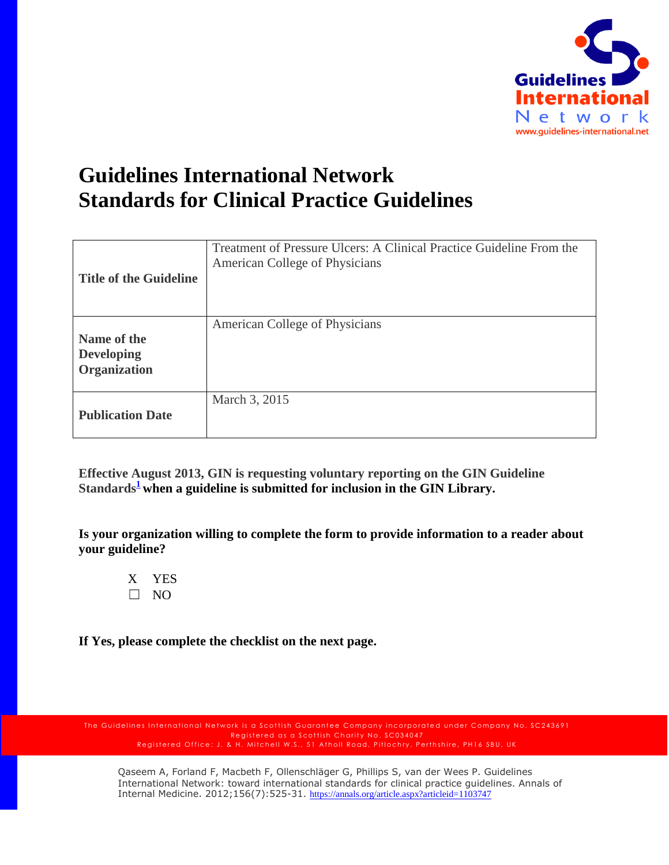

## **Guidelines International Network Standards for Clinical Practice Guidelines**

| <b>Title of the Guideline</b>                           | Treatment of Pressure Ulcers: A Clinical Practice Guideline From the<br>American College of Physicians |
|---------------------------------------------------------|--------------------------------------------------------------------------------------------------------|
| Name of the<br><b>Developing</b><br><b>Organization</b> | American College of Physicians                                                                         |
| <b>Publication Date</b>                                 | March 3, 2015                                                                                          |

**Effective August 2013, GIN is requesting voluntary reporting on the GIN Guideline Standard[s](http://www.guideline.gov/about/inclusion-criteria.aspx#ref)<sup>1</sup> when a guideline is submitted for inclusion in the GIN Library.** 

**Is your organization willing to complete the form to provide information to a reader about your guideline?**

X YES  $\Box$  NO

**If Yes, please complete the checklist on the next page.**

The Guidelines International Network is a Scottish Guarantee Company incorporated under Company No. SC243691 Registered as a Scottish Charity No. SC034047 Registered Office: J. & H. Mitchell W.S., 51 Atholl Road, Pitlochry, Perthshire, PH16 5BU, UK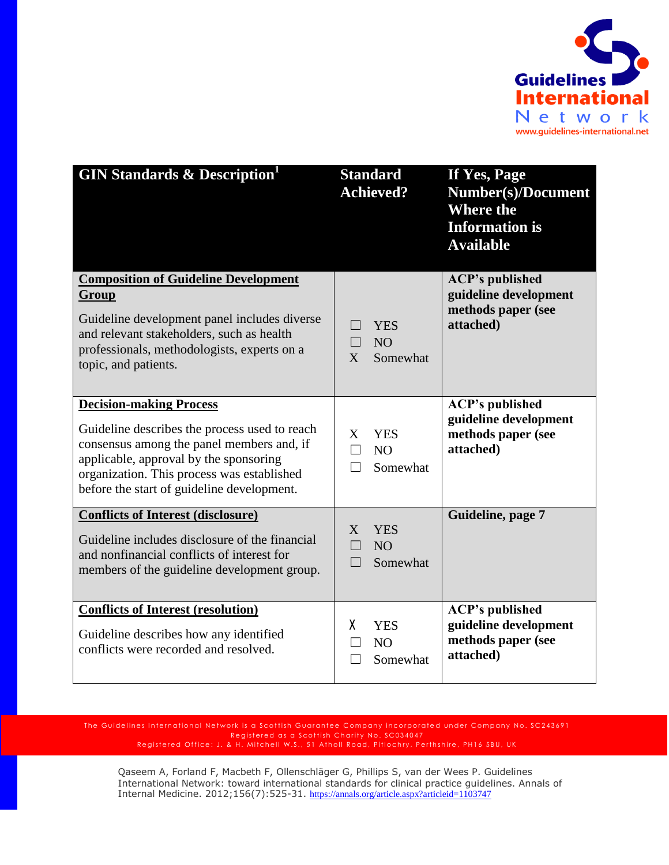

| <b>GIN Standards &amp; Description</b>                                                                                                                                                                                                                             | <b>Standard</b><br><b>Achieved?</b>                                          | If Yes, Page<br><b>Number(s)/Document</b><br><b>Where the</b><br><b>Information is</b><br><b>Available</b> |
|--------------------------------------------------------------------------------------------------------------------------------------------------------------------------------------------------------------------------------------------------------------------|------------------------------------------------------------------------------|------------------------------------------------------------------------------------------------------------|
| <b>Composition of Guideline Development</b><br>Group<br>Guideline development panel includes diverse<br>and relevant stakeholders, such as health<br>professionals, methodologists, experts on a<br>topic, and patients.                                           | <b>YES</b><br>NO<br>$\Box$<br>Somewhat<br>X                                  | <b>ACP's published</b><br>guideline development<br>methods paper (see<br>attached)                         |
| <b>Decision-making Process</b><br>Guideline describes the process used to reach<br>consensus among the panel members and, if<br>applicable, approval by the sponsoring<br>organization. This process was established<br>before the start of guideline development. | <b>YES</b><br>X<br>N <sub>O</sub><br>Somewhat                                | <b>ACP's published</b><br>guideline development<br>methods paper (see<br>attached)                         |
| <b>Conflicts of Interest (disclosure)</b><br>Guideline includes disclosure of the financial<br>and nonfinancial conflicts of interest for<br>members of the guideline development group.                                                                           | <b>YES</b><br>X<br>N <sub>O</sub><br>$\Box$<br>Somewhat<br>$\vert \ \ \vert$ | Guideline, page 7                                                                                          |
| <b>Conflicts of Interest (resolution)</b><br>Guideline describes how any identified<br>conflicts were recorded and resolved.                                                                                                                                       | χ<br><b>YES</b><br>N <sub>O</sub><br>Somewhat                                | <b>ACP's published</b><br>guideline development<br>methods paper (see<br>attached)                         |

The Guidelines International Network is a Scottish Guarantee Company incorporated under Company No. SC243691 Registered as a Scottish Charity No. SC034047 Registered Office: J. & H. Mitchell W.S., 51 Atholl Road, Pitlochry, Perthshire, PH16 5BU, UK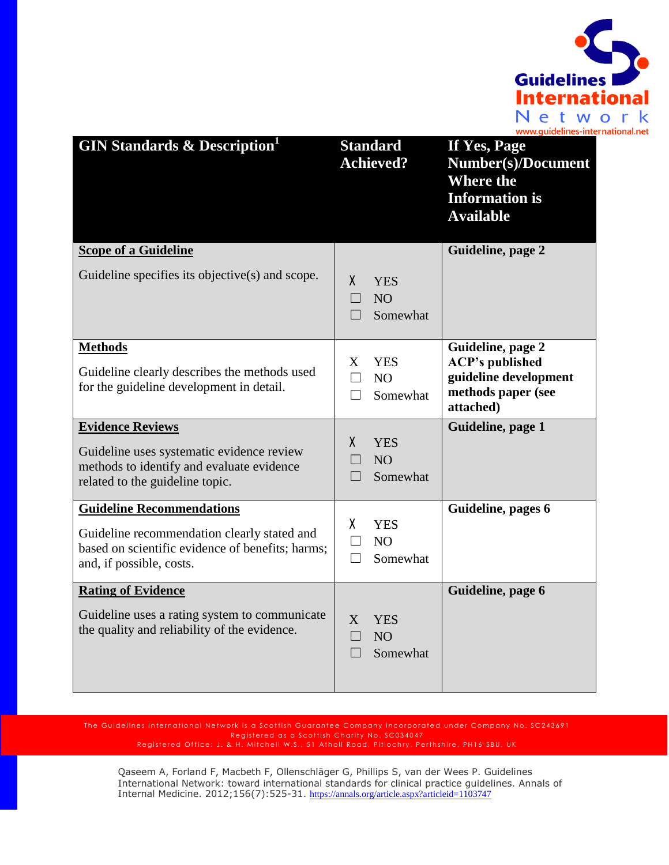

| <b>GIN Standards &amp; Description</b>                                                                                                                          | <b>Standard</b><br><b>Achieved?</b>                                   | If Yes, Page<br><b>Number(s)/Document</b><br><b>Where the</b><br><b>Information is</b><br><b>Available</b> |
|-----------------------------------------------------------------------------------------------------------------------------------------------------------------|-----------------------------------------------------------------------|------------------------------------------------------------------------------------------------------------|
| <b>Scope of a Guideline</b>                                                                                                                                     |                                                                       | Guideline, page 2                                                                                          |
| Guideline specifies its objective(s) and scope.                                                                                                                 | $\mathsf{X}$<br><b>YES</b><br>NO<br>Somewhat<br>$\vert \ \ \vert$     |                                                                                                            |
| <b>Methods</b><br>Guideline clearly describes the methods used<br>for the guideline development in detail.                                                      | <b>YES</b><br>X<br>N <sub>O</sub><br>П<br>Somewhat<br>П               | Guideline, page 2<br><b>ACP's published</b><br>guideline development<br>methods paper (see<br>attached)    |
| <b>Evidence Reviews</b><br>Guideline uses systematic evidence review<br>methods to identify and evaluate evidence<br>related to the guideline topic.            | X<br><b>YES</b><br>NO <sub>1</sub><br>$\Box$<br>Somewhat<br>$\Box$    | Guideline, page 1                                                                                          |
| <b>Guideline Recommendations</b><br>Guideline recommendation clearly stated and<br>based on scientific evidence of benefits; harms;<br>and, if possible, costs. | χ<br><b>YES</b><br>N <sub>O</sub><br>$\Box$<br>Somewhat<br>П          | Guideline, pages 6                                                                                         |
| <b>Rating of Evidence</b><br>Guideline uses a rating system to communicate<br>the quality and reliability of the evidence.                                      | $\overline{X}$<br><b>YES</b><br>NO <sub>1</sub><br>$\Box$<br>Somewhat | Guideline, page 6                                                                                          |

The Guidelines International Network is a Scottish Guarantee Company incorporated under Company No. SC243691 Registered as a Scottish Charity No. SC034047 Registered Office: J. & H. Mitchell W.S., 51 Atholl Road, Pitlochry, Perthshire, PH16 5BU, UK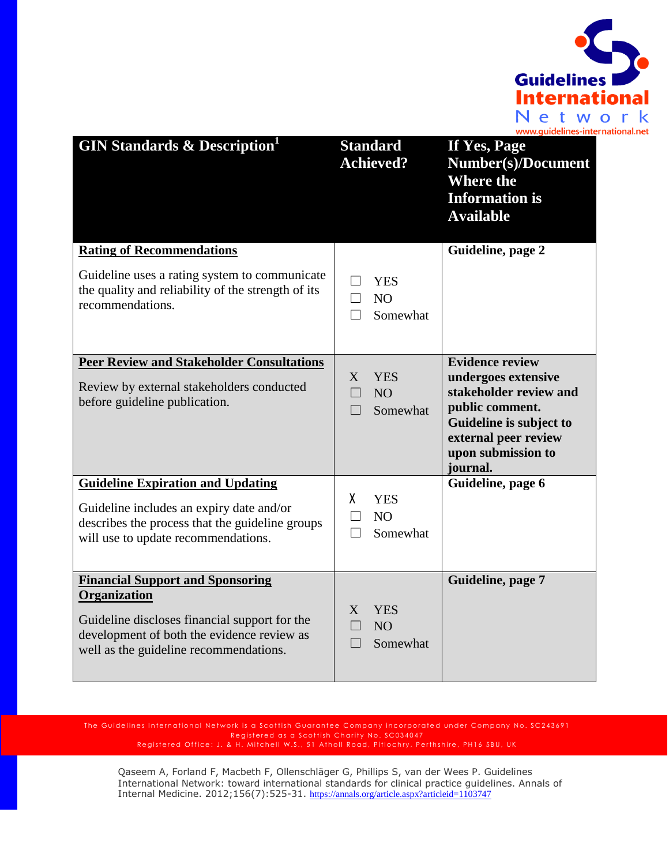

| <b>GIN Standards &amp; Description</b>                                                                                                                                                           | <b>Standard</b><br><b>Achieved?</b>                          | If Yes, Page<br><b>Number(s)/Document</b><br><b>Where the</b><br><b>Information is</b><br><b>Available</b>                                                                      |
|--------------------------------------------------------------------------------------------------------------------------------------------------------------------------------------------------|--------------------------------------------------------------|---------------------------------------------------------------------------------------------------------------------------------------------------------------------------------|
| <b>Rating of Recommendations</b>                                                                                                                                                                 |                                                              | Guideline, page 2                                                                                                                                                               |
| Guideline uses a rating system to communicate<br>the quality and reliability of the strength of its<br>recommendations.                                                                          | <b>YES</b><br>N <sub>O</sub><br>П<br>Somewhat                |                                                                                                                                                                                 |
| <b>Peer Review and Stakeholder Consultations</b><br>Review by external stakeholders conducted<br>before guideline publication.                                                                   | X<br><b>YES</b><br>N <sub>O</sub><br>П<br>Somewhat<br>$\Box$ | <b>Evidence review</b><br>undergoes extensive<br>stakeholder review and<br>public comment.<br>Guideline is subject to<br>external peer review<br>upon submission to<br>journal. |
| <b>Guideline Expiration and Updating</b>                                                                                                                                                         |                                                              | Guideline, page 6                                                                                                                                                               |
| Guideline includes an expiry date and/or<br>describes the process that the guideline groups<br>will use to update recommendations.                                                               | X<br><b>YES</b><br>N <sub>O</sub><br>$\Box$<br>Somewhat      |                                                                                                                                                                                 |
| <b>Financial Support and Sponsoring</b><br>Organization<br>Guideline discloses financial support for the<br>development of both the evidence review as<br>well as the guideline recommendations. | <b>YES</b><br>X<br>NO <sub>1</sub><br>Somewhat               | Guideline, page 7                                                                                                                                                               |

The Guidelines International Network is a Scottish Guarantee Company incorporated under Company No. SC243691 Registered as a Scottish Charity No. SC034047 Registered Office: J. & H. Mitchell W.S., 51 Atholl Road, Pitlochry, Perthshire, PH16 5BU, UK